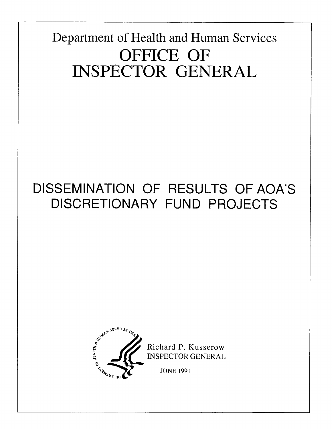Department of Health and Human Services OFFICE OF **INSPECTOR GENERAL** 

# DISSEMINATION OF RESULTS OF AOA'S DISCRETIONARY FUND PROJECTS

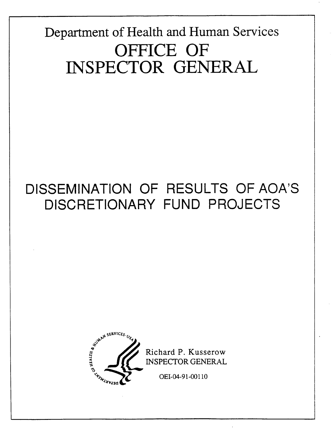# Department of Health and Human Services OFFICE OF INSPECTOR GENERAL

# DISSEMINATION OF RESULTS OF AOA'S DISCRETIONARY FUND PROJECTS



Richard P. Kusserow **INSPECTOR GENERAL** 

OEI-04-91-00110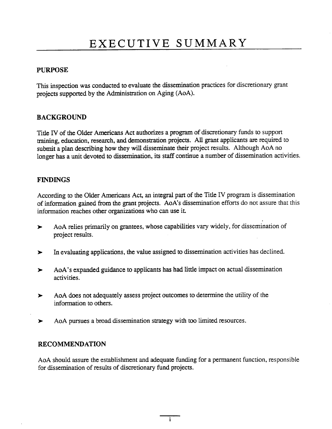### PURPOSE

This inspection was conducted to evaluate the dissemination practices for discretionary grant projects supported by the Administration on Aging (AoA).

### **BACKGROUND**

Title IV of the Older Americans Act authorizes a program of discretionary funds to support training, education, research, and demonstration projects. All grant applicants are required to submit a plan describing how they wil disseminate their project results. Although AoA no longer has a unit devoted to dissemination, its staff continue a number of dissemination activities.

### FINDINGS

According to the Older Americans Act, an integral part of the Title IV program is dissemination of information gaied from the grant projects. AoA's dissemiation efforts do not assure that this information reaches other organizations who can use it.

- AoA relies primarily on grantees, whose capabilities vary widely, for dissemination of  $\blacktriangleright$ project results.
- In evaluatig applications, the value assigned to dissemination activities has declined.  $\blacktriangleright$
- AoA's expanded guidance to applicants has had little impact on actual dissemination  $\blacktriangleright$ activities.
- AoA does not adequately assess project outcomes to determine the utility of the  $\blacktriangleright$ information to others.
- AoA pursues a broad dissemination strategy with too limited resources.  $\blacktriangleright$

### RECOMMENDATION

AoA should assure the establishment and adequate funding for a permanent function, responsible for dissemination of results of discretionary fund projects.

 $\mathbf{i}$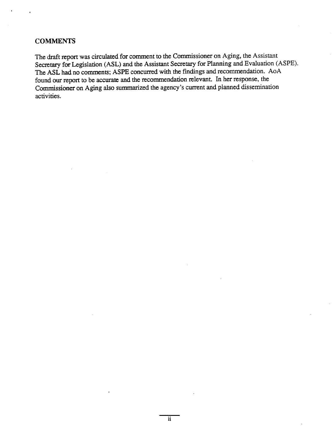### COMMENTS

The draft report was circulated for comment to the Commissioner on Aging, the Assistant Secretary for Legislation (ASL) and the Assistant Secretary for Planning and Evaluation (ASPE). The ASL had no comments; ASPE concured with the fmdings and recommendation. AoA found our report to be accurate and the recommendation relevant. In her response, the Commissioner on Aging also summarized the agency's current and planned dissemination activities.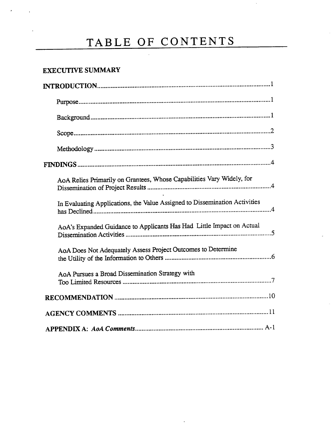### **EXECUTIVE SUMMARY**

| AoA Relies Primarily on Grantees, Whose Capabilities Vary Widely, for      |
|----------------------------------------------------------------------------|
| In Evaluating Applications, the Value Assigned to Dissemination Activities |
| AoA's Expanded Guidance to Applicants Has Had Little Impact on Actual      |
| AoA Does Not Adequately Assess Project Outcomes to Determine               |
| AoA Pursues a Broad Dissemination Strategy with                            |
|                                                                            |
|                                                                            |
|                                                                            |

 $\hat{\mathbf{r}}$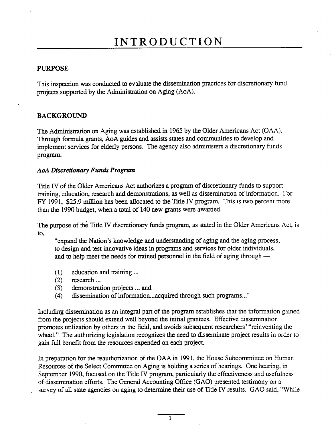### PURPOSE

This inspection was conducted to evaluate the dissemination practices for discretionary fund projects supported by the Administration on Aging (AoA).

### BACKGROUND

The Administration on Aging was established in 1965 by the Older Americans Act (OAA). Through formula grants, AoA gudes and assists states and communities to develop and implement services for elderly persons. The agency also administers a discretionary funds program.

#### **AoA Discretionary Funds Program**

Title IV of the Older Americans Act authorizes a program of discretionary funds to support training, education, research and demonstrations, as well as dissemination of information. For FY 1991, \$25.9 million has been allocated to the Title IV program. This is two percent more than the 1990 budget, when a total of 140 new grants were awarded.

The purpose of the Title IV discretionary funds program, as stated in the Older Americans Act, is to,

"expand the Nation's knowledge and understanding of aging and the aging process, to design and test innovative ideas in programs and services for older individuals, and to help meet the needs for trained personnel in the field of aging through —

- $(1)$  education and training ...
- (2) research. ..
- (3) demonstration projects ..- and
- (4) dissemination of information...acquired through such programs..."

Including dissemination as an integral part of the program establishes that the information gained from the projects should extend well beyond the initial grantees. Effective dissemination promotes utilization by others in the field, and avoids subsequent researchers' "reinventing the wheel." The authorizing legislation recognizes the need to disseminate project results in order to gain full benefit from the resources expended on each project.

In preparation for the reauthorization of the OAA in 1991, the House Subcommittee on Human Resources of the Select Committee on Aging is holding a series of hearings. One hearing, in September 1990, focused on the Title IV program, particularly the effectiveness and usefulness of dissemination efforts. The General Accounting Office (GAO) presented testimony on a survey of all state agencies on aging to determine their use of Title IV results. GAO said, "While

 $\mathbf{1}$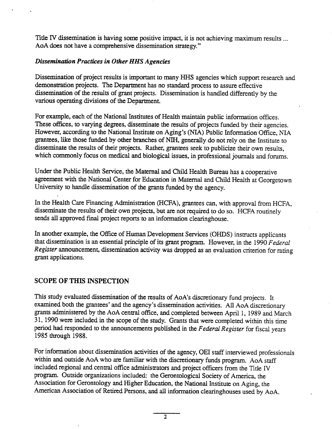Title IV dissemination is having some positive impact, it is not achieving maximum results ... AoA does not have a comprehensive dissemination strategy."

### Disseminaton Practies in Other HHS Agencies

Dissemination of project results is important to many HHS agencies which support research and demonstration projects. The Department has no standard process to assure effective dissemination of the results of grant projects. Dissemiation is handled differently by the various operating divisions of the Department.

For example, each of the National Institutes of Health maintain public information offices. These offices, to varying degrees, disseminate the results of projects funded by their agencies. However, according to the National Institute on Aging's (NIA) Public Information Office, NIA grantees, like those funded by other branches of NIH, generally do not rely on the Institute to disseminate the results of their projects. Rather, grantees seek to publicize their own results, which commonly focus on medical and biological issues, in professional journals and forums.

Under the Public Health Service, the Maternal and Child Health Bureau has a cooperative agreement with the National Center for Education in Maternal and Child Health at Georgetown University to handle dissemination of the grants funded by the agency.

In the Health Care Financing Administration (HCFA), grantees can, with approval from HCFA, disseminate the results of their own projects, but are not required to do so. HCFA routinely sends all approved final project reports to an information clearinghouse.

In another example, the Office of Human Development Services (OHDS) instructs applicants that dissemination is an essential principle of its grant program. However, in the 1990 Federal Register announcement, dissemination activity was dropped as an evaluation criterion for rating grant applications.

### SCOPE OF THIS INSPECTION

This study evaluated dissemination of the results of AoA's discretionary fund projects. It examined both the grantees' and the agency's dissemination activities. All AoA discretionary grants administered by the AoA central office, and completed between April 1, 1989 and March , 1990 were included in the scope of the study. Grants that were completed within this time period had responded to the announcements published in the Federal Register for fiscal years 1985 through 1988.

For information about dissemination activities of the agency, OEI staff interviewed professionals within and outside AoA who are familiar with the discretionary funds program. AoA staff included regional and central office administrators and project officers from the Title IV program. Outside organizations included: the Gerontological Society of America, the Association for Gerontology and Higher Education, the National Institute on Aging, the American Association of Retired Persons, and all information clearinghouses used by AoA.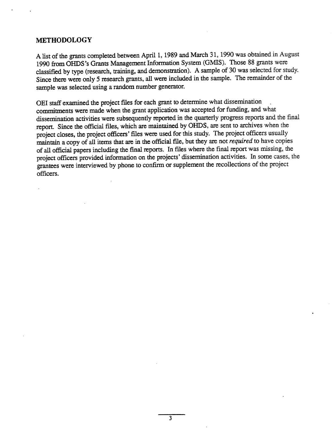### METHODOLOGY

A list of the grants completed between April 1, 1989 and March 31, 1990 was obtained in August 1990 from OHDS's Grants Management Information System (GMIS). Those 88 grants were classified by type (research, training, and demonstration). A sample of 30 was selected for study. Since there were only 5 research grants, all were included in the sample. The remainder of the sample was selected using a random number generator.

OEI staff examined the project files for each grant to determine what dissemination commitments were made when the grant application was accepted for funding, and what dissemination activities were subsequently reported in the quarterly progress reports and the final report. Since the official files, which are maintained by OHDS, are sent to archives when the project closes, the project officers' files were used for this study. The project officers usually maintain a copy of all items that are in the official file, but they are not *required* to have copies of all official papers including the final reports. In files where the final report was missing, the project officers provided information on the projects' dissemination activities. In some cases, the grantees were interviewed by phone to confirm or supplement the recollections of the project officers.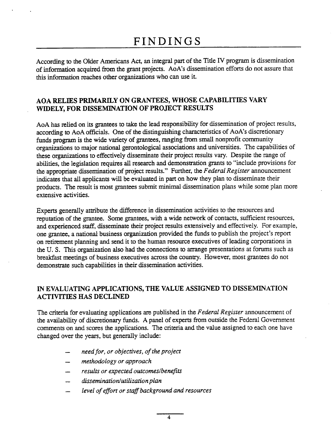## FINDINGS

According to the Older Americans Act, an integral part of the Title IV program is dissemination of information acquired from the grant projects. AoA's dissemination efforts do not assure that this information reaches other organizations who can use it.

### AOA RELIES PRIARILY ON GRANTEES, WHOSE CAPABILITIES VARY WIDELY, FOR DISSEMIATION OF PROJECT RESULTS

AoA has relied on its grantees to take the lead responsibility for dissemination of project results, according to AoA officials. One of the distinguishing characteristics of AoA's discretionary funds program is the wide variety of grantees, ranging from small nonprofit community organizations to major national gerontological associations and universities. The capabilities of these organizations to effectively disseminate their project results vary. Despite the range of abilities, the legislation requires all research and demonstration grants to "include provisions for the appropriate dissemination of project results." Further, the Federal Register announcement indicates that all applicants will be evaluated in part on how they plan to disseminate their products. The result is most grantees submit minimal dissemination plans while some plan more extensive activities.

Experts generally attribute the difference in dissemination activities to the resources and reputation of the grantee. Some grantees, with a wide network of contacts, sufficient resources, and experienced staff, disseminate their project results extensively and effectively. For example, one grantee, a national business organization provided the funds to publish the project's report on retiment planning and send it to the human resource executives of leading corporations in the U. S. This organization also had the connections to arrange presentations at forums such as breakfast meetings of business executives across the country. However, most grantees do not demonstrate such capabilities in their dissemination activities.

### IN EVALUATING APPLICATIONS, THE VALUE ASSIGNED TO DISSEMINATION ACTIVITIES HAS DECLINED

The criteria for evaluating applications are published in the Federal Register announcement of the availability of discretionary funds. A panel of experts from outside the Federal Government comments on and scores the applications. The criteria and the value assigned to each one have changed over the year, but generaly include:

- need for, or objectives, of the project
- methodology or approach
- results or expected outcomes/benefits
- dissemination/utilization plan
- level of effort or staff background and resources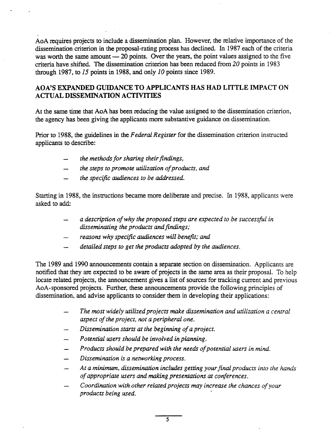AoA requires projects to include a dissemination plan. However, the relative importance of the dissemination criterion in the proposal-rating process has declined. In 1987 each of the criteria was worth the same amount  $-20$  points. Over the years, the point values assigned to the five criteria have shifted. The dissemination criterion has been reduced from  $20$  points in 1983 through 1987, to  $15$  points in 1988, and only  $10$  points since 1989.

### AOA'S EXPANDED GUIDANCE TO APPLICANTS HAS HAD LITTLE IMPACT ON **ACTUAL DISSEMINATION ACTIVITIES**

At the same time that AoA has been reducing the value assigned to the dissemination criterion, the agency has been giving the applicants more substantive guidance on dissemination.

Prior to 1988, the guidelines in the Federal Register for the dissemination criterion instructed applicants to describe:

- the methods for sharing their findings,
- the steps to promote utilization of products, and
- the specific audiences to be addressed.

Starting in 1988, the instructions became more deliberate and precise. In 1988, applicants were asked to add:

- a description of why the proposed steps are expected to be successful in disseminating the products and findings;
- reasons why specific audiences will benefit; and
- detailed steps to get the products adopted by the audiences.

The 1989 and 1990 announcements contan a separate section on dissemination. Applicants are notified that they are expected to be aware of projects in the same area as their proposal. To help locate related projects, the announcement gives a list of sources for tracking current and previous AoA-sponsored projects. Furher, these announcements provide the following principles of dissemination, and advise applicants to consider them in developing their applications:

- The most widely utilzed projects make dissemination and utilization a central aspect of the project, not a peripheral one.
- Dissemination starts at the beginning of a project.
- Potential users should be involved in planning.
- Products should be prepared with the needs of potential users in mind.
- Dissemination is a networking process.  $\overline{\phantom{0}}$
- At a minimum, dissemination includes getting your final products into the hands of appropriate users and making presentations at conferences.
- Coordination with other related projects may increase the chances of your products being used.

5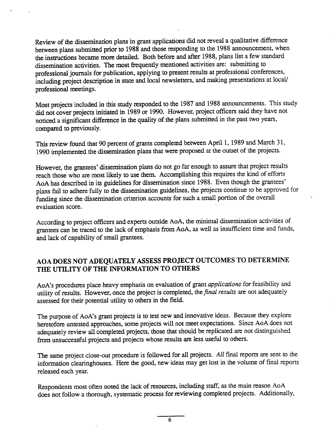Review of the dissemiation plans in grant applications did not reveal a qualtative difference between plans submitted prior to 1988 and those responding to the 1988 announcement, when the instructions became more detailed. Both before and after 1988, plans list a few standard dissemination activities. The most frequently mentioned activities are: submitting to professional jourals for publication, applying to present results at professional conferences, including project description in state and local newsletters, and making presentations at local/ professional meetings.

Most projects included in this study responded to the 1987 and 1988 announcements. This study did not cover projects initiated in 1989 or 1990. However, project officers said they have not noticed a significant difference in the quality of the plans submitted in the past two years, compared to previously.

This review found that 90 percent of grants completed between April 1, 1989 and March 31, 1990 implemented the dissemination plans that were proposed at the outset of the projects.

However, the grantees' dissemination plans do not go far enough to assure that project results reach those who are most likely to use them. Accomplishing this requires the kind of efforts AoA has described in its guidelines for dissemination since 1988. Even though the grantees' plans fail to adhere fully to the dissemination guidelines, the projects continue to be approved for funding since the dissemination criterion accounts for such a small portion of the overall evaluation score.

According to project officers and experts outside AoA, the minimal dissemination activities of grantees can be traced to the lack of emphasis from AoA, as well as insufficient time and funds, and lack of capability of small grantees.

### AOA DOES NOT ADEQUATELY ASSESS PROJECT OUTCOMES TO DETERMINE THE UTILITY OF THE INFORMATION TO OTHERS

AoA's procedures place heavy emphasis on evaluation of grant *applications* for feasibility and utility of results. However, once the project is completed, the *final results* are not adequately assessed for their potential utility to others in the field.

The purpose of AoA's grant projects is to test new and innovative ideas. Because they explore heretofore untested approaches, some projects will not meet expectations. Since AoA does not adequately review all completed projects, those that should be replicated are not distinguished from unsuccessful projects and projects whose results are less useful to others.

The same project close-out procedure is followed for all projects. All final reports are sent to the information clearnghouses. Here the good, new ideas may get lost in the volume of final reports released each year.

Respondents most often noted the lack of resources, including staff, as the main reason AoA does not follow a thorough, systematic process for reviewing completed projects. Additionally,

6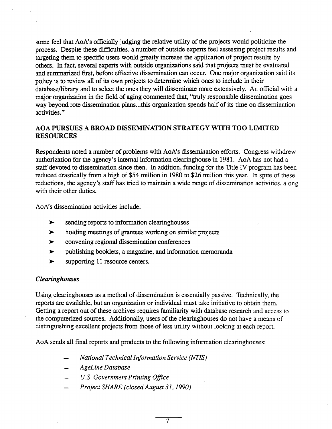some feel that AoA's officially judging the relative utility of the projects would politicize the process. Despite these difficulties, a number of outside experts feel assessing project results and targeting them to specific users would greatly increase the application of project results by others. In fact, several experts with outside organizations said that projects must be evaluated and summarized first, before effective dissemination can occur. One major organization said its policy is to review all of its own projects to determine which ones to include in their database/library and to select the ones they will disseminate more extensively. An official with a major organization in the field of aging commented that, "truly responsible dissemination goes way beyond rote dissemination plans...this organization spends half of its time on dissemination activities. "

### AOA PURSUES A BROAD DISSEMINATION STRATEGY WITH TOO LIMITED RESOURCES

Respondents noted a number of problems with AoA's dissemination efforts. Congress withdrew authorization for the agency's internal information clearinghouse in 1981. AoA has not had a staff devoted to dissemination since then. In addition, funding for the Title IV program has been reduced drastically from a high of \$54 million in 1980 to \$26 million this year. In spite of these reductions, the agency's staff has tried to maintain a wide range of dissemination activities, along with their other duties.

AoA's dissemination activities include:

- sending reports to information clearinghouses  $\blacktriangleright$
- $\blacktriangleright$ holding meetings of grantees working on similar projects
- convenig regional dissemination conferences  $\blacktriangleright$
- publishing booklets, a magazine, and information memoranda  $\blacktriangleright$
- supporting 11 resource centers.  $\blacktriangleright$

### Clearinghouses

Using clearinghouses as a method of dissemination is essentially passive. Technically, the reports are available, but an organization or individual must take initiative to obtain them. Getting a report out of these archives requires familiarity with database research and access to the computerized soures. Additionally, users of the clearnghouses do not have a means of distinguishing excellent projects from those of less utility without looking at each report.

 $\overline{\tau}$ 

AoA sends all final reports and products to the following information clearinghouses:

- National Technical Information Service (NTIS)
- AgeLine Database
- S. Government Printing Office
- Project SHARE (closed August 31, 1990)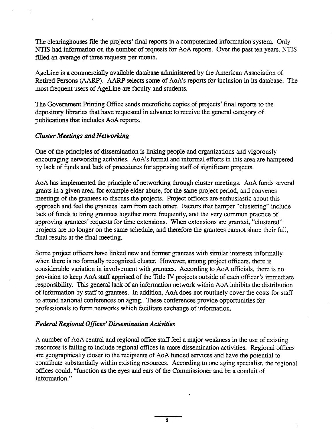The clearinghouses file the projects' final reports in a computerized information system. Only NTS had information on the number of requests for AoA reports. Over the past ten years, NTIS filled an average of three requests per month.

AgeLine is a commercialy avaiable database admistered by the American Association of Retired Persons (AARP). AARP selects some of AoA's reports for inclusion in its database. The most frequent users of AgeLine are faculty and students.

The Government Printing Office sends microfiche copies of projects' final reports to the depository libraries that have requested in advance to receive the general category of publications that includes AoA reports.

### Cluster Meetings and Networking

One of the principles of dissemination is linking people and organizations and vigorously encouraging networking activities. AoA's formal and informal efforts in this area are hampered by lack of funds and lack of procedures for apprising staff of significant projects.

AoA has implemented the principle of networking through cluster meetings. AoA funds several grants in a given area, for example elder abuse, for the same project period, and convenes meetings of the grantees to discuss the projects. Project officers are enthusiastic about this approach and feel the grantees learn from each other. Factors that hamper "clustering" include lack of funds to bring grantees together more frequently, and the very common practice of approving grantees' requests for time extensions. When extensions are granted, "clustered" projects are no longer on the same schedule, and therefore the grantees cannot share their full, final results at the final meeting.

Some project officers have linked new and former grantees with similar interests informally when there is no formally recognized cluster. However, among project officers, there is considerable variation in involvement with grantees. According to AoA officials, there is no provision to keep AoA staff apprised of the Title IV projects outside of each officer's immediate responsibility. This general lack of an information network within AoA inhibits the distribution of information by staff to grantees. In addition, AoA does not routinely cover the costs for staff to attend national conferences on aging. These conferences provide opportunities for professionals to form netWorks which facilitate exchange of information.

### Federal Regional Offices' Disseminaton Activities

A number of AoA central and regional office staff feel a major weakness in the use of existing resources is failing to include regional offices in more dissemination activities. Regional offices are geographically closer to the recipients of AoA funded services and have the potential to contribute substantially within existing resources. According to one aging specialist, the regional offices could, "function as the eyes and ears of the Commissioner and be a conduit of information. "

 $\overline{\mathbf{R}}$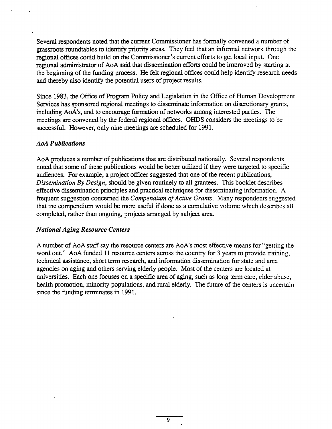Several respondents noted that the current Commissioner has formally convened a number of grassroots roundtables to identify priority areas. They feel that an informal network through the regional offices could build on the Commissioner's current efforts to get local input. One regional administrator of AoA said that dissemination efforts could be improved by starting at the beginning of the funding process. He felt regional offices could help identify research needs and thereby also identify the potential users of project results.

Since 1983, the Office of Program Policy and Legislation in the Office of Human Development Services has sponsored regional meetings to disseminate information on discretionary grants, including AoA's, and to encourage formation of networks among interested parties. The meetings are convened by the federal regional offices. OHDS considers the meetings to be successful. However, only nine meetings are scheduled for 1991.

### **AoA Publications**

AoA produces a number of publications that are distributed nationally. Several respondents noted that some of these publications would be better utilized if they were targeted to specific audiences. For example, a project officer suggested that one of the recent publications, Dissemination By Design, should be given routinely to all grantees. This booklet describes effective dissemination priciples and practical techniques for disseminating information. A frequent suggestion concerned the Compendium of Active Grants. Many respondents suggested that the compendium would be more useful if done as a cumulative volume which describes all completed, rather than ongoing, projects arranged by subject area.

### National Aging Resource Centers

A number of AoA staff say the resource centers are AoA's most effective means for "getting the word out." AoA funded 11 resource centers across the country for 3 years to provide training, technical assistance, short term research, and infonnation dissemination for state and area agencies on aging and others serving elderly people. Most of the centers are located at universities. Each one focuses on a specific area of aging, such as long term care, elder abuse health promotion, minority populations, and rural elderly. The future of the centers is uncertain since the funding terminates in 1991.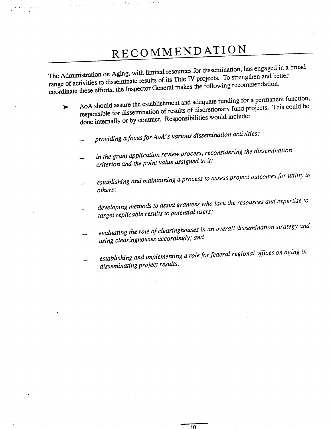# RECOMMENDATION

. .. - -. . .

The Administration on Aging, with limited resources for dissemination, has engaged in a broad range of activities to disseminate results of  $\frac{1}{2}$  and  $\frac{1}{2}$  projects. To discuss the following  $\frac{1}{2}$ coordinate these efforts, the Inspector General makes the following recommendation.

- AoA should assure the establishment and adequate funding funding for a could be a permanent fund projects. This could be  $\blacktriangleright$ responsible for dissemination of results of diseasers of the include: done internally or by contract. Responsibilities
	- providing a focus for AoA's various dissemination activities,
	- in the grant application review process, reconsidering the dissemination criterion and the point value assigned to it;
	- establishing and maintaining a process to assess project outcomes for ullily io others;
	- developing methods to assist grantees who lack the resources and expertise to target replicable results to potential users;
	- evaluating the role of clearinghouses in an overall dissemination strategy and using clearinghouses accordingly; and
	- establishing and implementing a role for federal regional offices on aging in disseminating project results.

 $\overline{10}$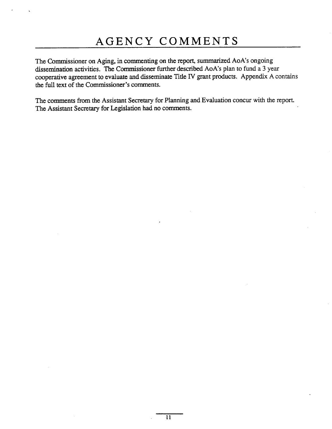The Commissioner on Aging, in commenting on the report, summarized AoA's ongoing dissemination activities. The Commissioner further described AoA's plan to fund a 3 year cooperative agreement to evaluate and disseminate Title IV grant products. Appendix A contains the full text of the Commissioner's comments.

The comments from the Assistant Secretary for Planning and Evaluation concur with the report. The Assistant Secretary for Legislation had no comments.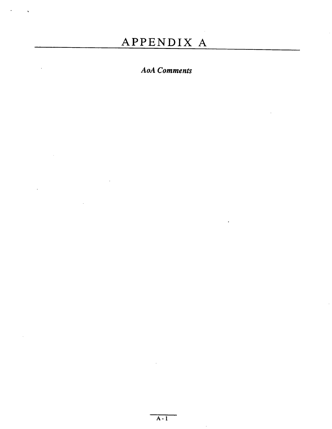## APPENDIX A

## **AoA** Comments

 $\ddot{\phantom{0}}$ 

 $\ddot{\phantom{a}}$ 

 $A - I$